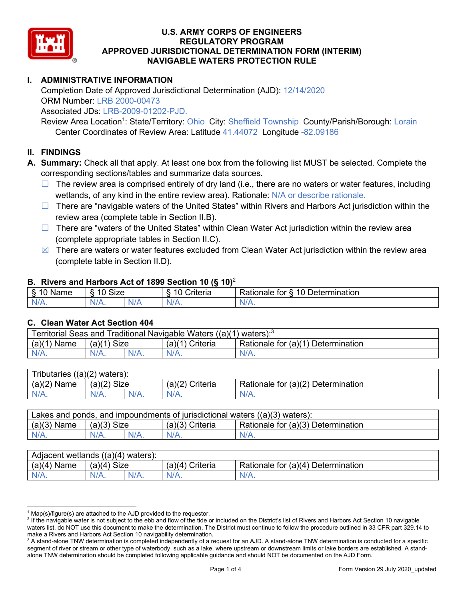

# **I. ADMINISTRATIVE INFORMATION**

Completion Date of Approved Jurisdictional Determination (AJD): 12/14/2020 ORM Number: LRB 2000-00473

Associated JDs: LRB-2009-01202-PJD.

Review Area Location<sup>1</sup>: State/Territory: Ohio City: Sheffield Township County/Parish/Borough: Lorain Center Coordinates of Review Area: Latitude 41.44072 Longitude -82.09186

### **II. FINDINGS**

**A. Summary:** Check all that apply. At least one box from the following list MUST be selected. Complete the corresponding sections/tables and summarize data sources.

- $\Box$  The review area is comprised entirely of dry land (i.e., there are no waters or water features, including wetlands, of any kind in the entire review area). Rationale: N/A or describe rationale.
- $\Box$  There are "navigable waters of the United States" within Rivers and Harbors Act jurisdiction within the review area (complete table in Section II.B).
- $\Box$  There are "waters of the United States" within Clean Water Act jurisdiction within the review area (complete appropriate tables in Section II.C).
- $\boxtimes$  There are waters or water features excluded from Clean Water Act jurisdiction within the review area (complete table in Section II.D).

#### **B. Rivers and Harbors Act of 1899 Section 10 (§ 10)**<sup>2</sup>

| w                            |                        |     |                |                                                                                                   |  |  |  |
|------------------------------|------------------------|-----|----------------|---------------------------------------------------------------------------------------------------|--|--|--|
| R<br>.<br>'vallie'<br>υ<br>ູ | Size<br>$\overline{A}$ |     | 10<br>`rıterıa | $\overline{\phantom{a}}$<br>10 <sup>1</sup><br>Jetermination<br>$-1 - 1 - 1$<br>tor<br>ationale a |  |  |  |
| N/L                          | N/A.                   | NIF | N/A            | 11 I N.                                                                                           |  |  |  |

#### **C. Clean Water Act Section 404**

| <b>Territorial Seas and</b><br>Traditional Navigable Waters ((a)(1)<br>waters): <sup>3</sup> |                |  |                    |                                         |  |  |
|----------------------------------------------------------------------------------------------|----------------|--|--------------------|-----------------------------------------|--|--|
| (a)(1)<br>Name                                                                               | Size<br>(a)(1) |  | (a)(1)<br>Criteria | Rationale for (a)(1) D<br>Determination |  |  |
|                                                                                              | $N/A$ .        |  | $N/A$ .            | $N/A$ .                                 |  |  |

| Tributaries<br>$((a)(2)$ waters): |                       |         |                    |                                    |  |  |
|-----------------------------------|-----------------------|---------|--------------------|------------------------------------|--|--|
| (a)(2)<br>Name                    | (a)(2)<br><b>Size</b> |         | (a)(2)<br>Criteria | Rationale for (a)(2) Determination |  |  |
| $N/A$ .                           | N/A.                  | $N/A$ . | $N/A$ .            | N/A.                               |  |  |

| Lakes and ponds, and impoundments of jurisdictional waters $((a)(3)$ waters): |               |  |                   |                                    |  |  |
|-------------------------------------------------------------------------------|---------------|--|-------------------|------------------------------------|--|--|
| $(a)(3)$ Name                                                                 | $(a)(3)$ Size |  | $(a)(3)$ Criteria | Rationale for (a)(3) Determination |  |  |
| $N/A$ .                                                                       | $N/A$ .       |  | $N/A$ .           | $N/A$ .                            |  |  |

| Adjacent<br>((a)(4)<br>) waters):<br>wetlands |                       |         |                   |                                          |  |  |  |
|-----------------------------------------------|-----------------------|---------|-------------------|------------------------------------------|--|--|--|
| (a)(4)<br>Name                                | (a)(4)<br><b>Size</b> |         | (a)(4<br>Criteria | (a)(4)<br>Rationale for<br>Determination |  |  |  |
| N/A.                                          | $N/A$ .               | $N/A$ . | $N/A$ .           | $N/A$ .                                  |  |  |  |

 $1$  Map(s)/figure(s) are attached to the AJD provided to the requestor.

<sup>&</sup>lt;sup>2</sup> If the navigable water is not subject to the ebb and flow of the tide or included on the District's list of Rivers and Harbors Act Section 10 navigable waters list, do NOT use this document to make the determination. The District must continue to follow the procedure outlined in 33 CFR part 329.14 to make a Rivers and Harbors Act Section 10 navigability determination.

<sup>&</sup>lt;sup>3</sup> A stand-alone TNW determination is completed independently of a request for an AJD. A stand-alone TNW determination is conducted for a specific segment of river or stream or other type of waterbody, such as a lake, where upstream or downstream limits or lake borders are established. A standalone TNW determination should be completed following applicable guidance and should NOT be documented on the AJD Form.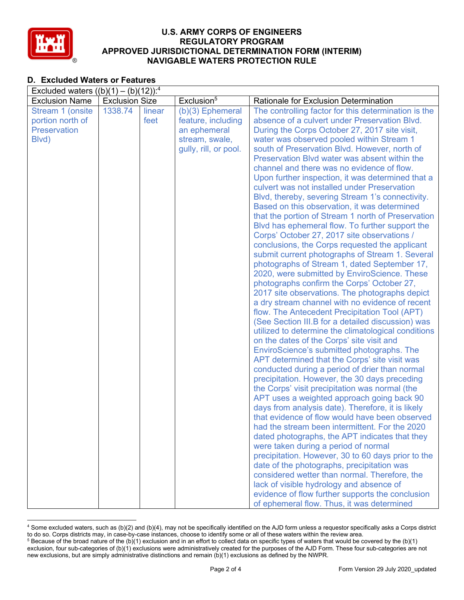

# **D. Excluded Waters or Features**

| Excluded waters $((b)(1) - (b)(12))$ : <sup>4</sup> |                       |        |                        |                                                                                              |  |  |
|-----------------------------------------------------|-----------------------|--------|------------------------|----------------------------------------------------------------------------------------------|--|--|
| <b>Exclusion Name</b>                               | <b>Exclusion Size</b> |        | Exclusion <sup>5</sup> | Rationale for Exclusion Determination                                                        |  |  |
| Stream 1 (onsite                                    | 1338.74               | linear | $(b)(3)$ Ephemeral     | The controlling factor for this determination is the                                         |  |  |
| portion north of                                    |                       | feet   | feature, including     | absence of a culvert under Preservation Blvd.                                                |  |  |
| <b>Preservation</b>                                 |                       |        | an ephemeral           | During the Corps October 27, 2017 site visit,                                                |  |  |
| Blvd)                                               |                       |        | stream, swale,         | water was observed pooled within Stream 1                                                    |  |  |
|                                                     |                       |        | gully, rill, or pool.  | south of Preservation Blvd. However, north of                                                |  |  |
|                                                     |                       |        |                        | Preservation Blvd water was absent within the                                                |  |  |
|                                                     |                       |        |                        | channel and there was no evidence of flow.                                                   |  |  |
|                                                     |                       |        |                        | Upon further inspection, it was determined that a                                            |  |  |
|                                                     |                       |        |                        | culvert was not installed under Preservation                                                 |  |  |
|                                                     |                       |        |                        | Blvd, thereby, severing Stream 1's connectivity.                                             |  |  |
|                                                     |                       |        |                        | Based on this observation, it was determined                                                 |  |  |
|                                                     |                       |        |                        | that the portion of Stream 1 north of Preservation                                           |  |  |
|                                                     |                       |        |                        | Blvd has ephemeral flow. To further support the                                              |  |  |
|                                                     |                       |        |                        | Corps' October 27, 2017 site observations /                                                  |  |  |
|                                                     |                       |        |                        | conclusions, the Corps requested the applicant                                               |  |  |
|                                                     |                       |        |                        | submit current photographs of Stream 1. Several                                              |  |  |
|                                                     |                       |        |                        | photographs of Stream 1, dated September 17,<br>2020, were submitted by EnviroScience. These |  |  |
|                                                     |                       |        |                        | photographs confirm the Corps' October 27,                                                   |  |  |
|                                                     |                       |        |                        | 2017 site observations. The photographs depict                                               |  |  |
|                                                     |                       |        |                        | a dry stream channel with no evidence of recent                                              |  |  |
|                                                     |                       |        |                        | flow. The Antecedent Precipitation Tool (APT)                                                |  |  |
|                                                     |                       |        |                        | (See Section III.B for a detailed discussion) was                                            |  |  |
|                                                     |                       |        |                        | utilized to determine the climatological conditions                                          |  |  |
|                                                     |                       |        |                        | on the dates of the Corps' site visit and                                                    |  |  |
|                                                     |                       |        |                        | EnviroScience's submitted photographs. The                                                   |  |  |
|                                                     |                       |        |                        | APT determined that the Corps' site visit was                                                |  |  |
|                                                     |                       |        |                        | conducted during a period of drier than normal                                               |  |  |
|                                                     |                       |        |                        | precipitation. However, the 30 days preceding                                                |  |  |
|                                                     |                       |        |                        | the Corps' visit precipitation was normal (the                                               |  |  |
|                                                     |                       |        |                        | APT uses a weighted approach going back 90                                                   |  |  |
|                                                     |                       |        |                        | days from analysis date). Therefore, it is likely                                            |  |  |
|                                                     |                       |        |                        | that evidence of flow would have been observed                                               |  |  |
|                                                     |                       |        |                        | had the stream been intermittent. For the 2020                                               |  |  |
|                                                     |                       |        |                        | dated photographs, the APT indicates that they                                               |  |  |
|                                                     |                       |        |                        | were taken during a period of normal                                                         |  |  |
|                                                     |                       |        |                        | precipitation. However, 30 to 60 days prior to the                                           |  |  |
|                                                     |                       |        |                        | date of the photographs, precipitation was                                                   |  |  |
|                                                     |                       |        |                        | considered wetter than normal. Therefore, the                                                |  |  |
|                                                     |                       |        |                        | lack of visible hydrology and absence of                                                     |  |  |
|                                                     |                       |        |                        | evidence of flow further supports the conclusion                                             |  |  |
|                                                     |                       |        |                        | of ephemeral flow. Thus, it was determined                                                   |  |  |

<sup>4</sup> Some excluded waters, such as (b)(2) and (b)(4), may not be specifically identified on the AJD form unless a requestor specifically asks a Corps district to do so. Corps districts may, in case-by-case instances, choose to identify some or all of these waters within the review area.  $5$  Because of the broad nature of the (b)(1) exclusion and in an effort to collect data on specific types of waters that would be covered by the (b)(1)

exclusion, four sub-categories of (b)(1) exclusions were administratively created for the purposes of the AJD Form. These four sub-categories are not new exclusions, but are simply administrative distinctions and remain (b)(1) exclusions as defined by the NWPR.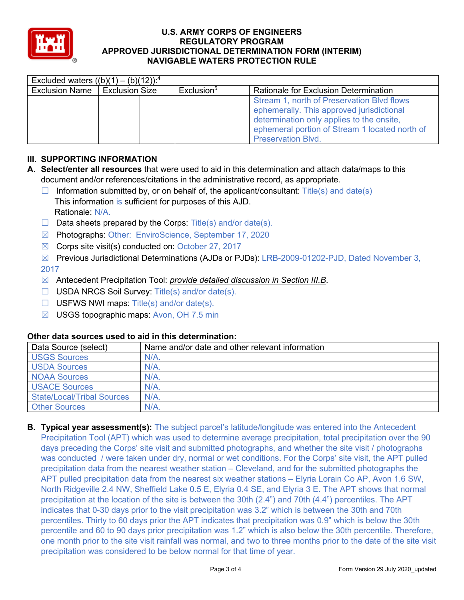

| Excluded waters $((b)(1) - (b)(12))$ : <sup>4</sup> |                       |  |                        |                                                |  |  |
|-----------------------------------------------------|-----------------------|--|------------------------|------------------------------------------------|--|--|
| Exclusion Name                                      | <b>Exclusion Size</b> |  | Exclusion <sup>5</sup> | <b>Rationale for Exclusion Determination</b>   |  |  |
|                                                     |                       |  |                        | Stream 1, north of Preservation Blvd flows     |  |  |
|                                                     |                       |  |                        | ephemerally. This approved jurisdictional      |  |  |
|                                                     |                       |  |                        | determination only applies to the onsite,      |  |  |
|                                                     |                       |  |                        | ephemeral portion of Stream 1 located north of |  |  |
|                                                     |                       |  |                        | <b>Preservation Blvd.</b>                      |  |  |

# **III. SUPPORTING INFORMATION**

- **A. Select/enter all resources** that were used to aid in this determination and attach data/maps to this document and/or references/citations in the administrative record, as appropriate.
	- $\Box$  Information submitted by, or on behalf of, the applicant/consultant: Title(s) and date(s) This information is sufficient for purposes of this AJD. Rationale: N/A.
	- $\Box$  Data sheets prepared by the Corps: Title(s) and/or date(s).
	- ☒ Photographs: Other: EnviroScience, September 17, 2020
	- $\boxtimes$  Corps site visit(s) conducted on: October 27, 2017
	- ☒ Previous Jurisdictional Determinations (AJDs or PJDs): LRB-2009-01202-PJD, Dated November 3, 2017
	- ☒ Antecedent Precipitation Tool: *provide detailed discussion in Section III.B*.
	- ☐ USDA NRCS Soil Survey: Title(s) and/or date(s).
	- $\Box$  USFWS NWI maps: Title(s) and/or date(s).
	- $\boxtimes$  USGS topographic maps: Avon, OH 7.5 min

## **Other data sources used to aid in this determination:**

| Data Source (select)              | Name and/or date and other relevant information |
|-----------------------------------|-------------------------------------------------|
| <b>USGS Sources</b>               | $N/A$ .                                         |
| <b>USDA Sources</b>               | N/A                                             |
| <b>NOAA Sources</b>               | N/A                                             |
| <b>USACE Sources</b>              | N/A                                             |
| <b>State/Local/Tribal Sources</b> | N/A                                             |
| <b>Other Sources</b>              | N/A                                             |

**B. Typical year assessment(s):** The subject parcel's latitude/longitude was entered into the Antecedent Precipitation Tool (APT) which was used to determine average precipitation, total precipitation over the 90 days preceding the Corps' site visit and submitted photographs, and whether the site visit / photographs was conducted / were taken under dry, normal or wet conditions. For the Corps' site visit, the APT pulled precipitation data from the nearest weather station – Cleveland, and for the submitted photographs the APT pulled precipitation data from the nearest six weather stations – Elyria Lorain Co AP, Avon 1.6 SW, North Ridgeville 2.4 NW, Sheffield Lake 0.5 E, Elyria 0.4 SE, and Elyria 3 E. The APT shows that normal precipitation at the location of the site is between the 30th (2.4") and 70th (4.4") percentiles. The APT indicates that 0-30 days prior to the visit precipitation was 3.2" which is between the 30th and 70th percentiles. Thirty to 60 days prior the APT indicates that precipitation was 0.9" which is below the 30th percentile and 60 to 90 days prior precipitation was 1.2" which is also below the 30th percentile. Therefore, one month prior to the site visit rainfall was normal, and two to three months prior to the date of the site visit precipitation was considered to be below normal for that time of year.